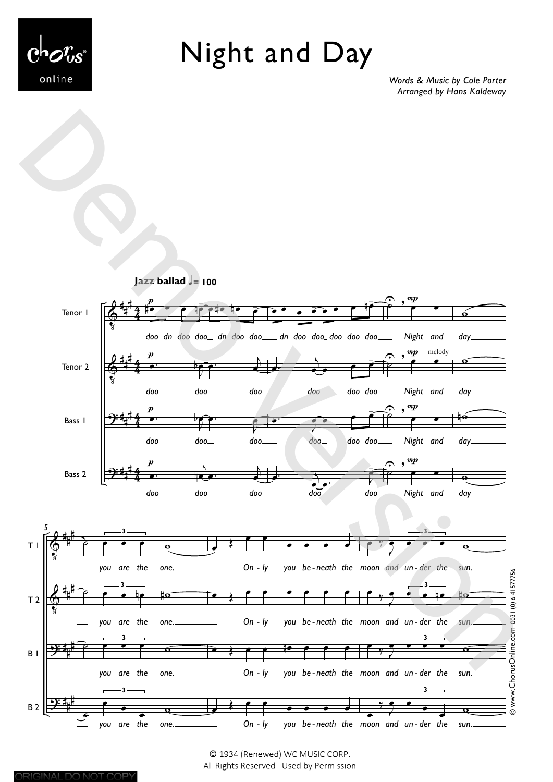

Night and Day

*Words & Music by Cole Porter Arranged by Hans Kaldeway*



© 1934 (Renewed) WC MUSIC CORP. All Rights Reserved Used by Permission